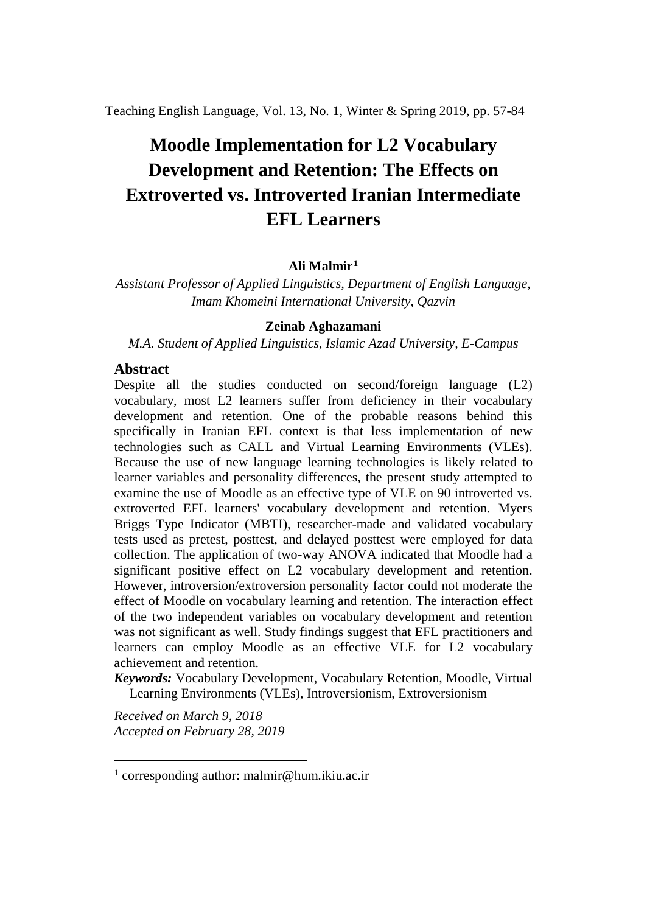Teaching English Language, Vol. 13, No. 1, Winter & Spring 2019, pp. 57-84

# **Moodle Implementation for L2 Vocabulary Development and Retention: The Effects on Extroverted vs. Introverted Iranian Intermediate EFL Learners**

## **Ali Malmir[1](#page-0-0)**

*Assistant Professor of Applied Linguistics, Department of English Language, Imam Khomeini International University, Qazvin*

## **Zeinab Aghazamani**

*M.A. Student of Applied Linguistics, Islamic Azad University, E-Campus*

#### **Abstract**

Despite all the studies conducted on second/foreign language (L2) vocabulary, most L2 learners suffer from deficiency in their vocabulary development and retention. One of the probable reasons behind this specifically in Iranian EFL context is that less implementation of new technologies such as CALL and Virtual Learning Environments (VLEs). Because the use of new language learning technologies is likely related to learner variables and personality differences, the present study attempted to examine the use of Moodle as an effective type of VLE on 90 introverted vs. extroverted EFL learners' vocabulary development and retention. Myers Briggs Type Indicator (MBTI), researcher-made and validated vocabulary tests used as pretest, posttest, and delayed posttest were employed for data collection. The application of two-way ANOVA indicated that Moodle had a significant positive effect on L2 vocabulary development and retention. However, introversion/extroversion personality factor could not moderate the effect of Moodle on vocabulary learning and retention. The interaction effect of the two independent variables on vocabulary development and retention was not significant as well. Study findings suggest that EFL practitioners and learners can employ Moodle as an effective VLE for L2 vocabulary achievement and retention.

*Keywords:* Vocabulary Development, Vocabulary Retention, Moodle, Virtual Learning Environments (VLEs), Introversionism, Extroversionism

*Received on March 9, 2018 Accepted on February 28, 2019*

.<br>-

<span id="page-0-0"></span><sup>1</sup> corresponding author: malmir@hum.ikiu.ac.ir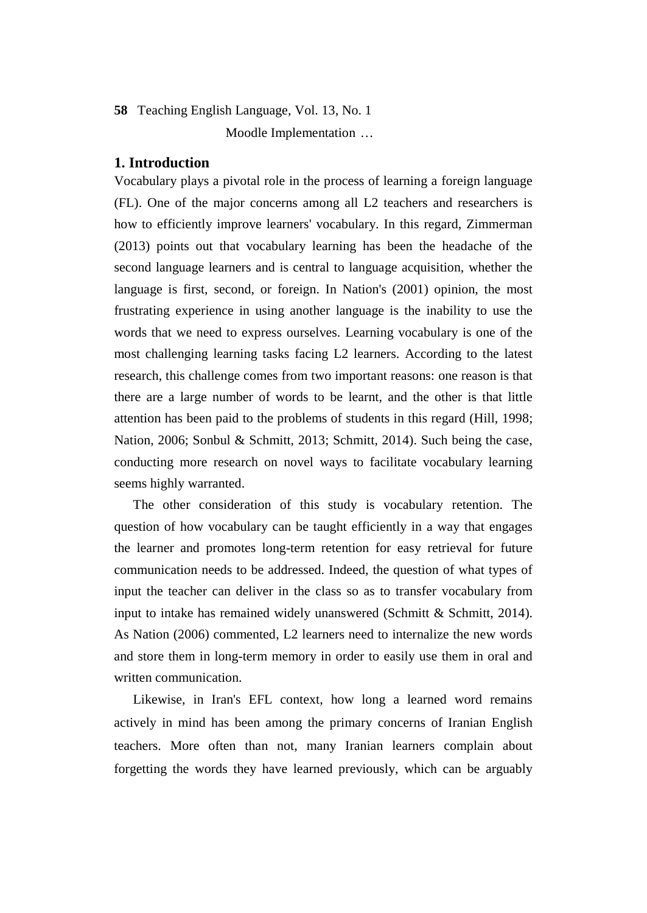Moodle Implementation …

#### **1. Introduction**

Vocabulary plays a pivotal role in the process of learning a foreign language (FL). One of the major concerns among all L2 teachers and researchers is how to efficiently improve learners' vocabulary. In this regard, Zimmerman (2013) points out that vocabulary learning has been the headache of the second language learners and is central to language acquisition, whether the language is first, second, or foreign. In Nation's (2001) opinion, the most frustrating experience in using another language is the inability to use the words that we need to express ourselves. Learning vocabulary is one of the most challenging learning tasks facing L2 learners. According to the latest research, this challenge comes from two important reasons: one reason is that there are a large number of words to be learnt, and the other is that little attention has been paid to the problems of students in this regard (Hill, 1998; Nation, 2006; Sonbul & Schmitt, 2013; Schmitt, 2014). Such being the case, conducting more research on novel ways to facilitate vocabulary learning seems highly warranted.

The other consideration of this study is vocabulary retention. The question of how vocabulary can be taught efficiently in a way that engages the learner and promotes long-term retention for easy retrieval for future communication needs to be addressed. Indeed, the question of what types of input the teacher can deliver in the class so as to transfer vocabulary from input to intake has remained widely unanswered (Schmitt  $&$  Schmitt, 2014). As Nation (2006) commented, L2 learners need to internalize the new words and store them in long-term memory in order to easily use them in oral and written communication.

Likewise, in Iran's EFL context, how long a learned word remains actively in mind has been among the primary concerns of Iranian English teachers. More often than not, many Iranian learners complain about forgetting the words they have learned previously, which can be arguably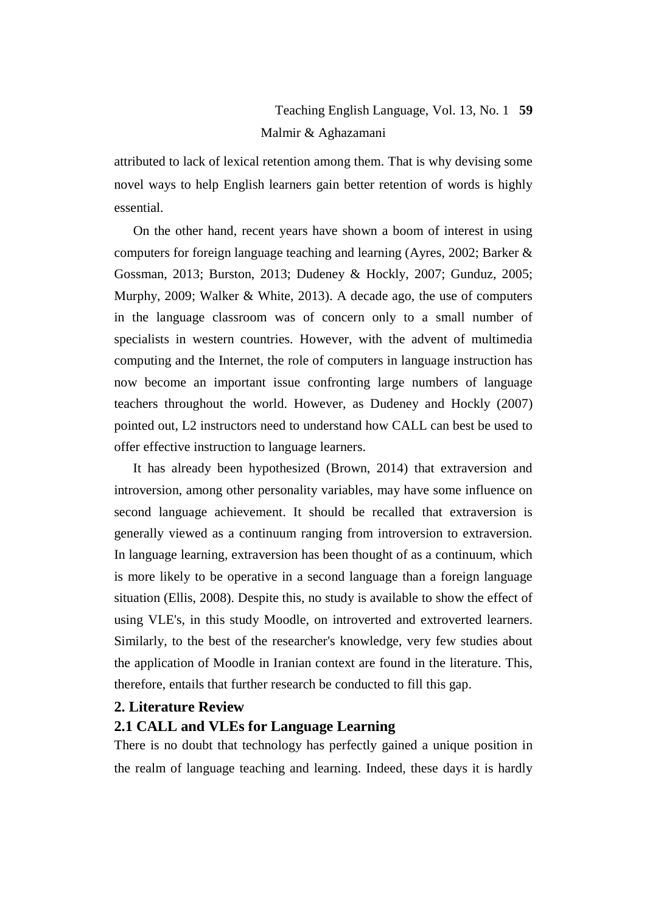# Teaching English Language, Vol. 13, No. 1 **59** Malmir & Aghazamani

attributed to lack of lexical retention among them. That is why devising some novel ways to help English learners gain better retention of words is highly essential.

On the other hand, recent years have shown a boom of interest in using computers for foreign language teaching and learning (Ayres, 2002; Barker & Gossman, 2013; Burston, 2013; Dudeney & Hockly, 2007; Gunduz, 2005; Murphy, 2009; Walker & White, 2013). A decade ago, the use of computers in the language classroom was of concern only to a small number of specialists in western countries. However, with the advent of multimedia computing and the Internet, the role of computers in language instruction has now become an important issue confronting large numbers of language teachers throughout the world. However, as Dudeney and Hockly (2007) pointed out, L2 instructors need to understand how CALL can best be used to offer effective instruction to language learners.

It has already been hypothesized (Brown, 2014) that extraversion and introversion, among other personality variables, may have some influence on second language achievement. It should be recalled that extraversion is generally viewed as a continuum ranging from introversion to extraversion. In language learning, extraversion has been thought of as a continuum, which is more likely to be operative in a second language than a foreign language situation (Ellis, 2008). Despite this, no study is available to show the effect of using VLE's, in this study Moodle, on introverted and extroverted learners. Similarly, to the best of the researcher's knowledge, very few studies about the application of Moodle in Iranian context are found in the literature. This, therefore, entails that further research be conducted to fill this gap.

## **2. Literature Review**

### **2.1 CALL and VLEs for Language Learning**

There is no doubt that technology has perfectly gained a unique position in the realm of language teaching and learning. Indeed, these days it is hardly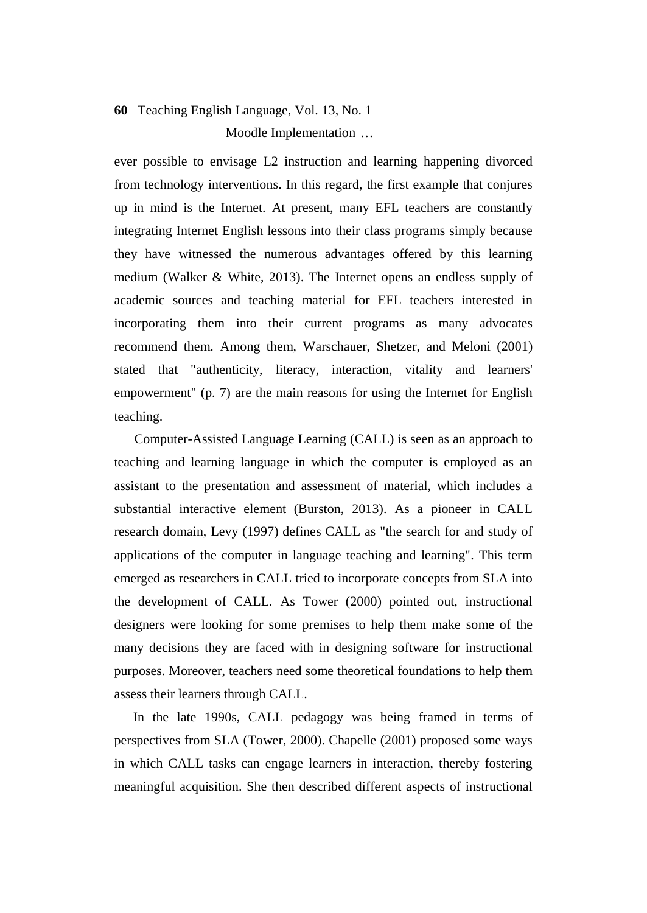# **60** Teaching English Language, Vol. 13, No. 1 Moodle Implementation …

ever possible to envisage L2 instruction and learning happening divorced from technology interventions. In this regard, the first example that conjures up in mind is the Internet. At present, many EFL teachers are constantly integrating Internet English lessons into their class programs simply because they have witnessed the numerous advantages offered by this learning medium (Walker & White, 2013). The Internet opens an endless supply of academic sources and teaching material for EFL teachers interested in incorporating them into their current programs as many advocates recommend them. Among them, Warschauer, Shetzer, and Meloni (2001) stated that "authenticity, literacy, interaction, vitality and learners' empowerment" (p. 7) are the main reasons for using the Internet for English teaching.

 Computer-Assisted Language Learning (CALL) is seen as an approach to teaching and learning language in which the computer is employed as an assistant to the presentation and assessment of material, which includes a substantial interactive element (Burston, 2013). As a pioneer in CALL research domain, Levy (1997) defines CALL as "the search for and study of applications of the computer in language teaching and learning". This term emerged as researchers in CALL tried to incorporate concepts from SLA into the development of CALL. As Tower (2000) pointed out, instructional designers were looking for some premises to help them make some of the many decisions they are faced with in designing software for instructional purposes. Moreover, teachers need some theoretical foundations to help them assess their learners through CALL.

In the late 1990s, CALL pedagogy was being framed in terms of perspectives from SLA (Tower, 2000). Chapelle (2001) proposed some ways in which CALL tasks can engage learners in interaction, thereby fostering meaningful acquisition. She then described different aspects of instructional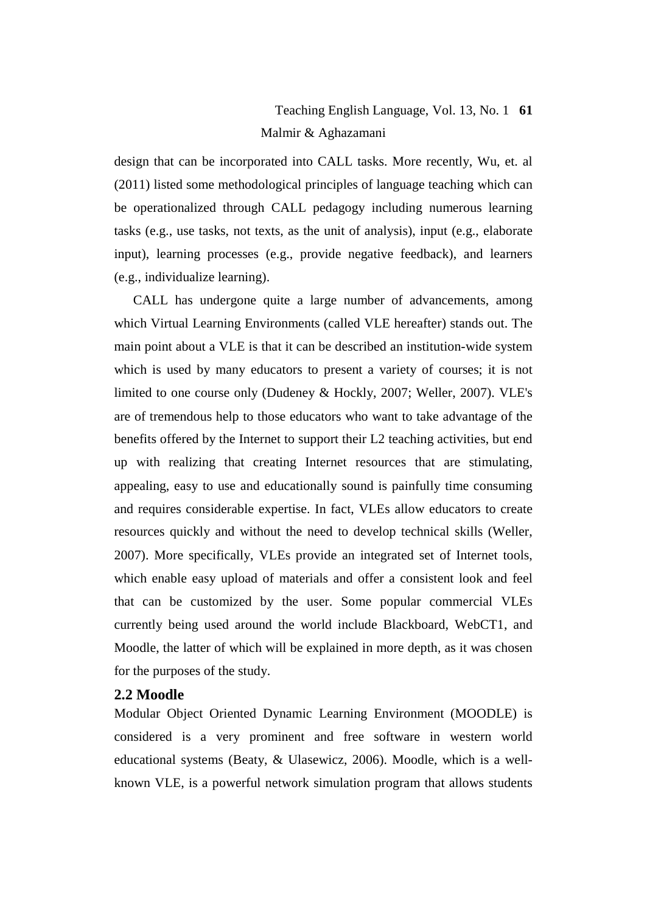# Teaching English Language, Vol. 13, No. 1 **61** Malmir & Aghazamani

design that can be incorporated into CALL tasks. More recently, Wu, et. al (2011) listed some methodological principles of language teaching which can be operationalized through CALL pedagogy including numerous learning tasks (e.g., use tasks, not texts, as the unit of analysis), input (e.g., elaborate input), learning processes (e.g., provide negative feedback), and learners (e.g., individualize learning).

CALL has undergone quite a large number of advancements, among which Virtual Learning Environments (called VLE hereafter) stands out. The main point about a VLE is that it can be described an institution-wide system which is used by many educators to present a variety of courses; it is not limited to one course only (Dudeney & Hockly, 2007; Weller, 2007). VLE's are of tremendous help to those educators who want to take advantage of the benefits offered by the Internet to support their L2 teaching activities, but end up with realizing that creating Internet resources that are stimulating, appealing, easy to use and educationally sound is painfully time consuming and requires considerable expertise. In fact, VLEs allow educators to create resources quickly and without the need to develop technical skills (Weller, 2007). More specifically, VLEs provide an integrated set of Internet tools, which enable easy upload of materials and offer a consistent look and feel that can be customized by the user. Some popular commercial VLEs currently being used around the world include Blackboard, WebCT1, and Moodle, the latter of which will be explained in more depth, as it was chosen for the purposes of the study.

#### **2.2 Moodle**

Modular Object Oriented Dynamic Learning Environment (MOODLE) is considered is a very prominent and free software in western world educational systems (Beaty, & Ulasewicz, 2006). Moodle, which is a wellknown VLE, is a powerful network simulation program that allows students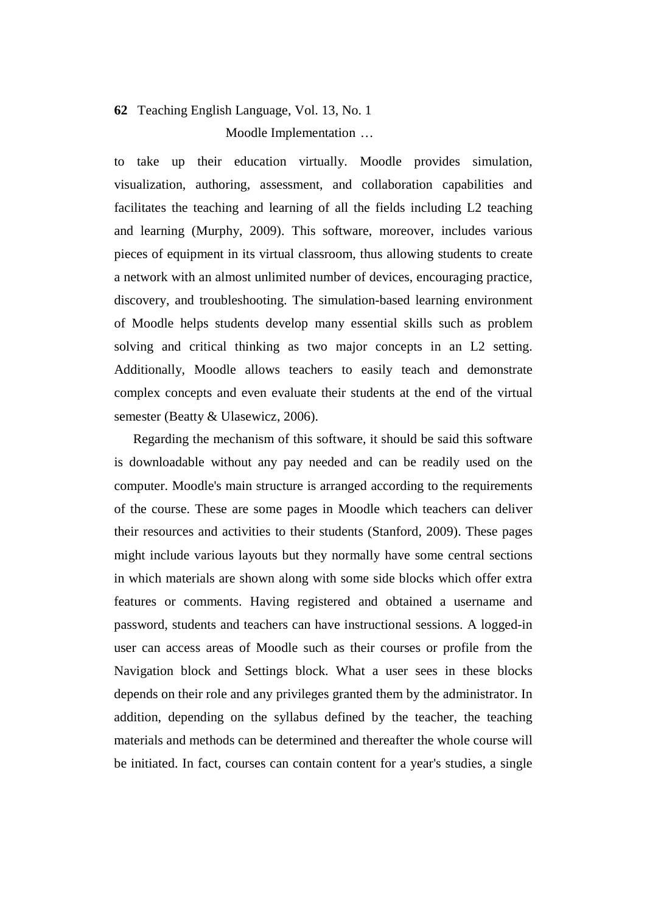# **62** Teaching English Language, Vol. 13, No. 1 Moodle Implementation …

to take up their education virtually. Moodle provides simulation, visualization, authoring, assessment, and collaboration capabilities and facilitates the teaching and learning of all the fields including L2 teaching and learning (Murphy, 2009). This software, moreover, includes various pieces of equipment in its virtual classroom, thus allowing students to create a network with an almost unlimited number of devices, encouraging practice, discovery, and troubleshooting. The simulation-based learning environment of Moodle helps students develop many essential skills such as problem solving and critical thinking as two major concepts in an L2 setting. Additionally, Moodle allows teachers to easily teach and demonstrate complex concepts and even evaluate their students at the end of the virtual semester (Beatty & Ulasewicz, 2006).

Regarding the mechanism of this software, it should be said this software is downloadable without any pay needed and can be readily used on the computer. Moodle's main structure is arranged according to the requirements of the course. These are some pages in Moodle which teachers can deliver their resources and activities to their students (Stanford, 2009). These pages might include various layouts but they normally have some central sections in which materials are shown along with some side blocks which offer extra features or comments. Having registered and obtained a username and password, students and teachers can have instructional sessions. A logged-in user can access areas of Moodle such as their courses or profile from the Navigation block and Settings block. What a user sees in these blocks depends on their role and any privileges granted them by the administrator. In addition, depending on the syllabus defined by the teacher, the teaching materials and methods can be determined and thereafter the whole course will be initiated. In fact, courses can contain content for a year's studies, a single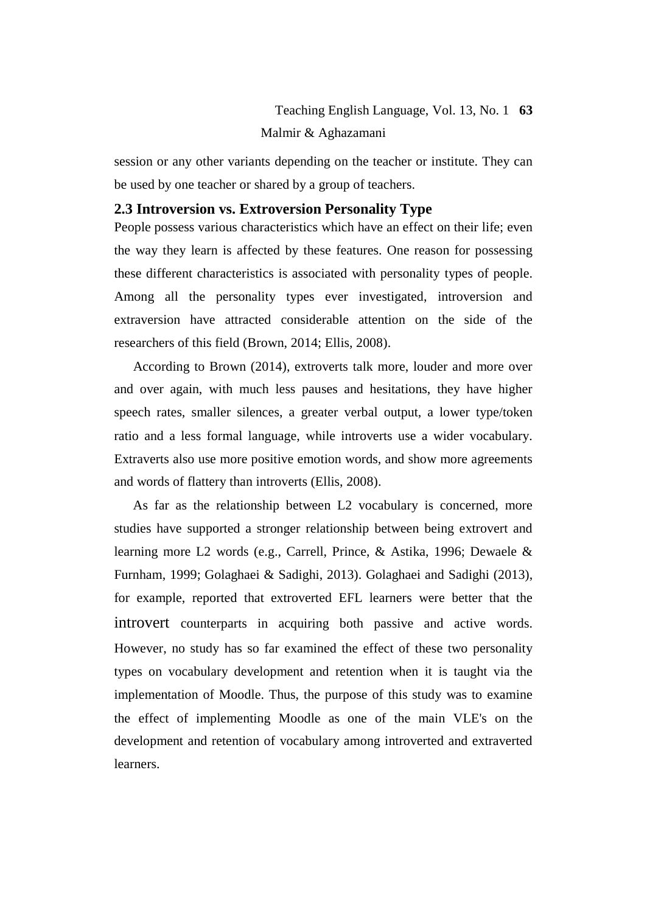# Teaching English Language, Vol. 13, No. 1 **63** Malmir & Aghazamani

session or any other variants depending on the teacher or institute. They can be used by one teacher or shared by a group of teachers.

# **2.3 Introversion vs. Extroversion Personality Type**

People possess various characteristics which have an effect on their life; even the way they learn is affected by these features. One reason for possessing these different characteristics is associated with personality types of people. Among all the personality types ever investigated, introversion and extraversion have attracted considerable attention on the side of the researchers of this field (Brown, 2014; Ellis, 2008).

According to Brown (2014), extroverts talk more, louder and more over and over again, with much less pauses and hesitations, they have higher speech rates, smaller silences, a greater verbal output, a lower type/token ratio and a less formal language, while introverts use a wider vocabulary. Extraverts also use more positive emotion words, and show more agreements and words of flattery than introverts (Ellis, 2008).

As far as the relationship between L2 vocabulary is concerned, more studies have supported a stronger relationship between being extrovert and learning more L2 words (e.g., Carrell, Prince, & Astika, 1996; Dewaele & Furnham, 1999; Golaghaei & Sadighi, 2013). Golaghaei and Sadighi (2013), for example, reported that extroverted EFL learners were better that the introvert counterparts in acquiring both passive and active words. However, no study has so far examined the effect of these two personality types on vocabulary development and retention when it is taught via the implementation of Moodle. Thus, the purpose of this study was to examine the effect of implementing Moodle as one of the main VLE's on the development and retention of vocabulary among introverted and extraverted learners.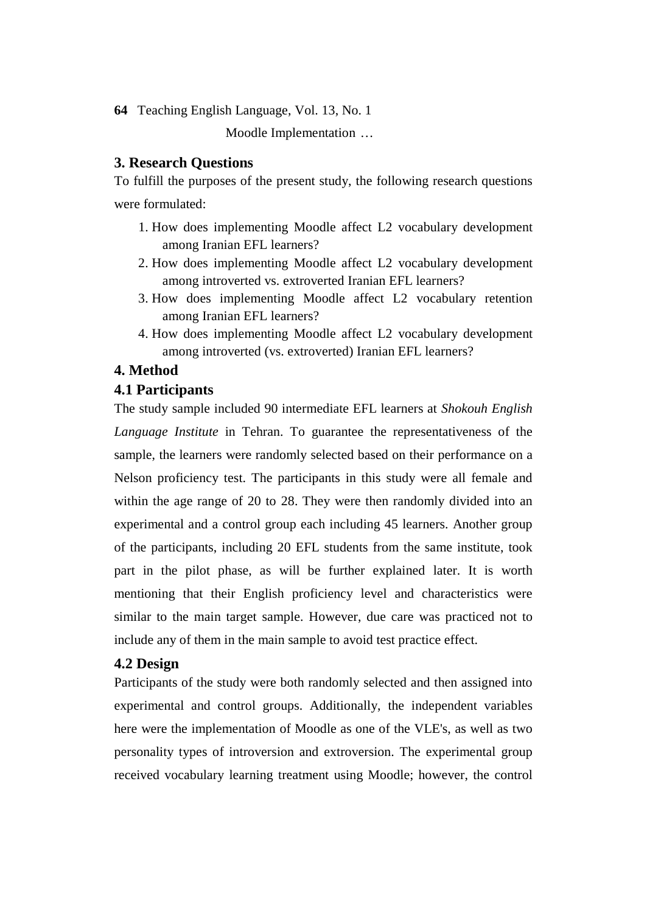Moodle Implementation …

## **3. Research Questions**

To fulfill the purposes of the present study, the following research questions were formulated:

- 1. How does implementing Moodle affect L2 vocabulary development among Iranian EFL learners?
- 2. How does implementing Moodle affect L2 vocabulary development among introverted vs. extroverted Iranian EFL learners?
- 3. How does implementing Moodle affect L2 vocabulary retention among Iranian EFL learners?
- 4. How does implementing Moodle affect L2 vocabulary development among introverted (vs. extroverted) Iranian EFL learners?

# **4. Method**

## **4.1 Participants**

The study sample included 90 intermediate EFL learners at *Shokouh English Language Institute* in Tehran. To guarantee the representativeness of the sample, the learners were randomly selected based on their performance on a Nelson proficiency test. The participants in this study were all female and within the age range of 20 to 28. They were then randomly divided into an experimental and a control group each including 45 learners. Another group of the participants, including 20 EFL students from the same institute, took part in the pilot phase, as will be further explained later. It is worth mentioning that their English proficiency level and characteristics were similar to the main target sample. However, due care was practiced not to include any of them in the main sample to avoid test practice effect.

# **4.2 Design**

Participants of the study were both randomly selected and then assigned into experimental and control groups. Additionally, the independent variables here were the implementation of Moodle as one of the VLE's, as well as two personality types of introversion and extroversion. The experimental group received vocabulary learning treatment using Moodle; however, the control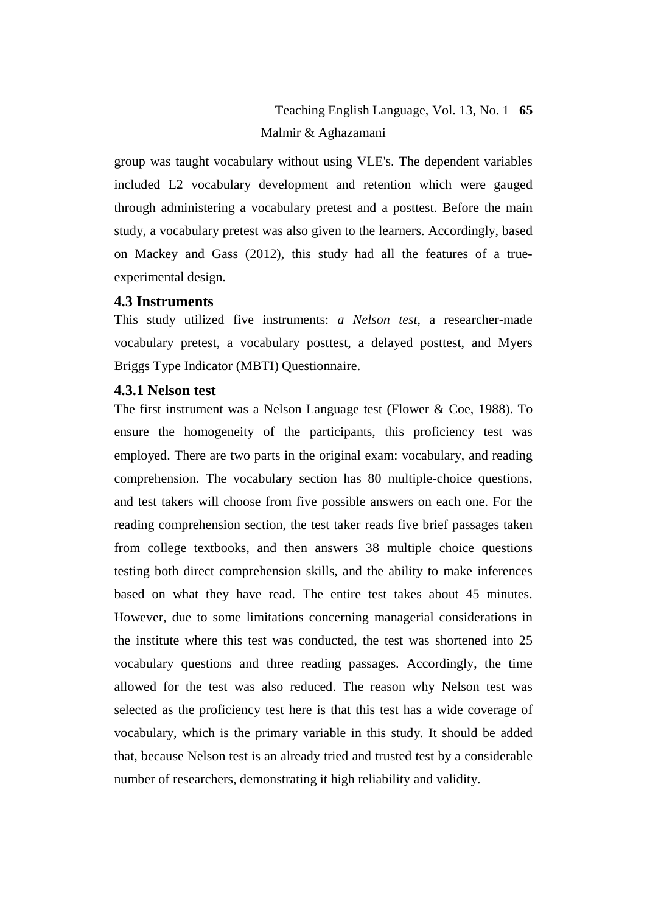# Teaching English Language, Vol. 13, No. 1 **65** Malmir & Aghazamani

group was taught vocabulary without using VLE's. The dependent variables included L2 vocabulary development and retention which were gauged through administering a vocabulary pretest and a posttest. Before the main study, a vocabulary pretest was also given to the learners. Accordingly, based on Mackey and Gass (2012), this study had all the features of a trueexperimental design.

#### **4.3 Instruments**

This study utilized five instruments: *a Nelson test*, a researcher-made vocabulary pretest, a vocabulary posttest, a delayed posttest, and Myers Briggs Type Indicator (MBTI) Questionnaire.

## **4.3.1 Nelson test**

The first instrument was a Nelson Language test (Flower & Coe, 1988). To ensure the homogeneity of the participants, this proficiency test was employed. There are two parts in the original exam: vocabulary, and reading comprehension. The vocabulary section has 80 multiple-choice questions, and test takers will choose from five possible answers on each one. For the reading comprehension section, the test taker reads five brief passages taken from college textbooks, and then answers 38 multiple choice questions testing both direct comprehension skills, and the ability to make inferences based on what they have read. The entire test takes about 45 minutes. However, due to some limitations concerning managerial considerations in the institute where this test was conducted, the test was shortened into 25 vocabulary questions and three reading passages. Accordingly, the time allowed for the test was also reduced. The reason why Nelson test was selected as the proficiency test here is that this test has a wide coverage of vocabulary, which is the primary variable in this study. It should be added that, because Nelson test is an already tried and trusted test by a considerable number of researchers, demonstrating it high reliability and validity.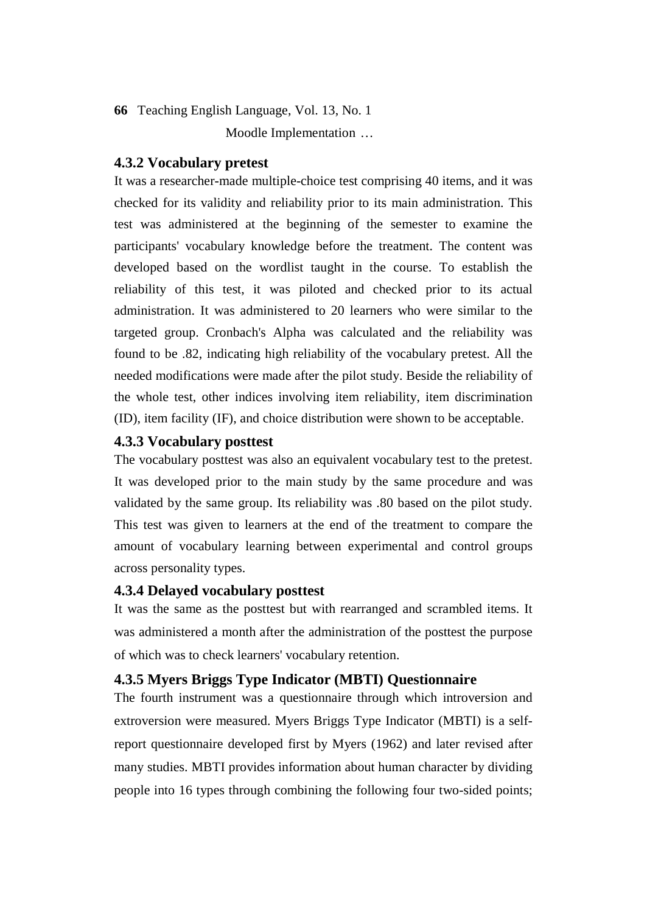Moodle Implementation …

## **4.3.2 Vocabulary pretest**

It was a researcher-made multiple-choice test comprising 40 items, and it was checked for its validity and reliability prior to its main administration. This test was administered at the beginning of the semester to examine the participants' vocabulary knowledge before the treatment. The content was developed based on the wordlist taught in the course. To establish the reliability of this test, it was piloted and checked prior to its actual administration. It was administered to 20 learners who were similar to the targeted group. Cronbach's Alpha was calculated and the reliability was found to be .82, indicating high reliability of the vocabulary pretest. All the needed modifications were made after the pilot study. Beside the reliability of the whole test, other indices involving item reliability, item discrimination (ID), item facility (IF), and choice distribution were shown to be acceptable.

#### **4.3.3 Vocabulary posttest**

The vocabulary posttest was also an equivalent vocabulary test to the pretest. It was developed prior to the main study by the same procedure and was validated by the same group. Its reliability was .80 based on the pilot study. This test was given to learners at the end of the treatment to compare the amount of vocabulary learning between experimental and control groups across personality types.

## **4.3.4 Delayed vocabulary posttest**

It was the same as the posttest but with rearranged and scrambled items. It was administered a month after the administration of the posttest the purpose of which was to check learners' vocabulary retention.

#### **4.3.5 Myers Briggs Type Indicator (MBTI) Questionnaire**

The fourth instrument was a questionnaire through which introversion and extroversion were measured. Myers Briggs Type Indicator (MBTI) is a selfreport questionnaire developed first by Myers (1962) and later revised after many studies. MBTI provides information about human character by dividing people into 16 types through combining the following four two-sided points;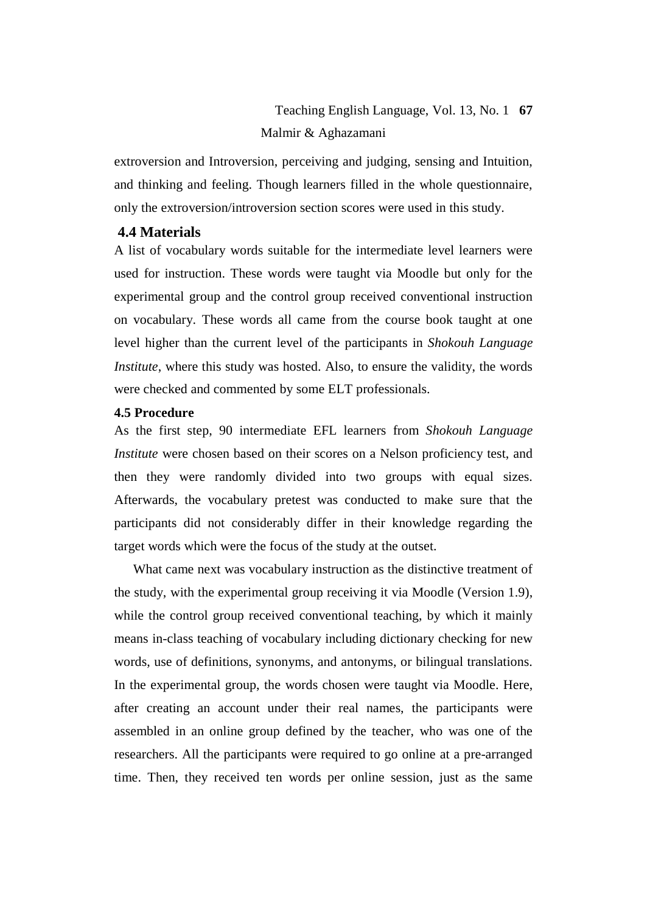# Teaching English Language, Vol. 13, No. 1 **67** Malmir & Aghazamani

extroversion and Introversion, perceiving and judging, sensing and Intuition, and thinking and feeling. Though learners filled in the whole questionnaire, only the extroversion/introversion section scores were used in this study.

## **4.4 Materials**

A list of vocabulary words suitable for the intermediate level learners were used for instruction. These words were taught via Moodle but only for the experimental group and the control group received conventional instruction on vocabulary. These words all came from the course book taught at one level higher than the current level of the participants in *Shokouh Language Institute*, where this study was hosted. Also, to ensure the validity, the words were checked and commented by some ELT professionals.

#### **4.5 Procedure**

As the first step, 90 intermediate EFL learners from *Shokouh Language Institute* were chosen based on their scores on a Nelson proficiency test, and then they were randomly divided into two groups with equal sizes. Afterwards, the vocabulary pretest was conducted to make sure that the participants did not considerably differ in their knowledge regarding the target words which were the focus of the study at the outset.

What came next was vocabulary instruction as the distinctive treatment of the study, with the experimental group receiving it via Moodle (Version 1.9), while the control group received conventional teaching, by which it mainly means in-class teaching of vocabulary including dictionary checking for new words, use of definitions, synonyms, and antonyms, or bilingual translations. In the experimental group, the words chosen were taught via Moodle. Here, after creating an account under their real names, the participants were assembled in an online group defined by the teacher, who was one of the researchers. All the participants were required to go online at a pre-arranged time. Then, they received ten words per online session, just as the same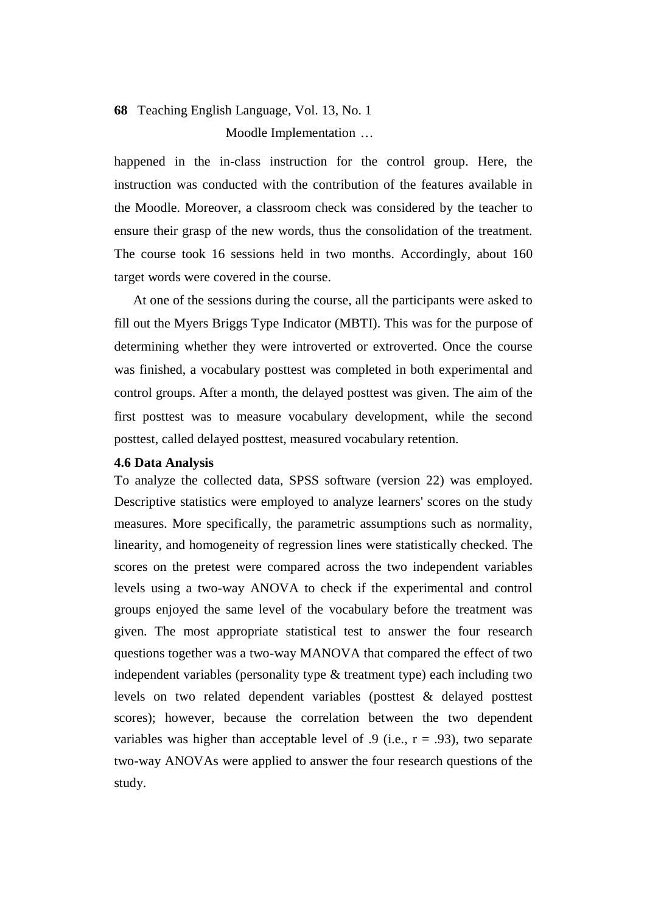Moodle Implementation …

happened in the in-class instruction for the control group. Here, the instruction was conducted with the contribution of the features available in the Moodle. Moreover, a classroom check was considered by the teacher to ensure their grasp of the new words, thus the consolidation of the treatment. The course took 16 sessions held in two months. Accordingly, about 160 target words were covered in the course.

At one of the sessions during the course, all the participants were asked to fill out the Myers Briggs Type Indicator (MBTI). This was for the purpose of determining whether they were introverted or extroverted. Once the course was finished, a vocabulary posttest was completed in both experimental and control groups. After a month, the delayed posttest was given. The aim of the first posttest was to measure vocabulary development, while the second posttest, called delayed posttest, measured vocabulary retention.

#### **4.6 Data Analysis**

To analyze the collected data, SPSS software (version 22) was employed. Descriptive statistics were employed to analyze learners' scores on the study measures. More specifically, the parametric assumptions such as normality, linearity, and homogeneity of regression lines were statistically checked. The scores on the pretest were compared across the two independent variables levels using a two-way ANOVA to check if the experimental and control groups enjoyed the same level of the vocabulary before the treatment was given. The most appropriate statistical test to answer the four research questions together was a two-way MANOVA that compared the effect of two independent variables (personality type & treatment type) each including two levels on two related dependent variables (posttest & delayed posttest scores); however, because the correlation between the two dependent variables was higher than acceptable level of  $.9$  (i.e.,  $r = .93$ ), two separate two-way ANOVAs were applied to answer the four research questions of the study.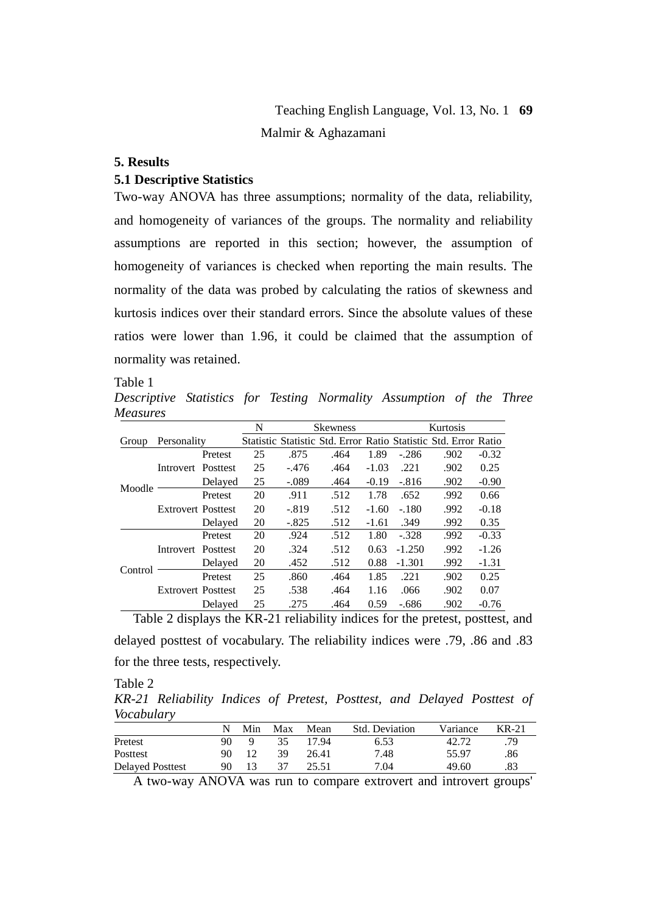# Teaching English Language, Vol. 13, No. 1 **69** Malmir & Aghazamani

#### **5. Results**

#### **5.1 Descriptive Statistics**

Two-way ANOVA has three assumptions; normality of the data, reliability, and homogeneity of variances of the groups. The normality and reliability assumptions are reported in this section; however, the assumption of homogeneity of variances is checked when reporting the main results. The normality of the data was probed by calculating the ratios of skewness and kurtosis indices over their standard errors. Since the absolute values of these ratios were lower than 1.96, it could be claimed that the assumption of normality was retained.

Table 1

*Descriptive Statistics for Testing Normality Assumption of the Three Measures*

|         |                           |         | N  | <b>Skewness</b> |                                                                 |         | Kurtosis |      |         |
|---------|---------------------------|---------|----|-----------------|-----------------------------------------------------------------|---------|----------|------|---------|
| Group   | Personality               |         |    |                 | Statistic Statistic Std. Error Ratio Statistic Std. Error Ratio |         |          |      |         |
|         |                           | Pretest | 25 | .875            | .464                                                            | 1.89    | $-286$   | .902 | $-0.32$ |
|         | Introvert Posttest        |         | 25 | $-476$          | .464                                                            | $-1.03$ | .221     | .902 | 0.25    |
| Moodle  |                           | Delayed | 25 | $-.089$         | .464                                                            | $-0.19$ | $-816$   | .902 | $-0.90$ |
|         | <b>Extrovert Posttest</b> | Pretest | 20 | .911            | .512                                                            | 1.78    | .652     | .992 | 0.66    |
|         |                           |         | 20 | $-0.819$        | .512                                                            | $-1.60$ | $-.180$  | .992 | $-0.18$ |
|         |                           | Delayed | 20 | $-.825$         | .512                                                            | $-1.61$ | .349     | .992 | 0.35    |
|         |                           | Pretest | 20 | .924            | .512                                                            | 1.80    | $-.328$  | .992 | $-0.33$ |
|         | Introvert Posttest        |         | 20 | .324            | .512                                                            | 0.63    | $-1.250$ | .992 | $-1.26$ |
| Control |                           | Delayed | 20 | .452            | .512                                                            | 0.88    | $-1.301$ | .992 | $-1.31$ |
|         | <b>Extrovert Posttest</b> | Pretest | 25 | .860            | .464                                                            | 1.85    | .221     | .902 | 0.25    |
|         |                           |         | 25 | .538            | .464                                                            | 1.16    | .066     | .902 | 0.07    |
|         |                           | Delaved | 25 | .275            | .464                                                            | 0.59    | $-686$   | .902 | $-0.76$ |

Table 2 displays the KR-21 reliability indices for the pretest, posttest, and delayed posttest of vocabulary. The reliability indices were .79, .86 and .83 for the three tests, respectively.

Table 2

*KR-21 Reliability Indices of Pretest, Posttest, and Delayed Posttest of Vocabulary*

|                         |     | Min | Max | Mean  | Std. Deviation | Variance | $KR-21$ |
|-------------------------|-----|-----|-----|-------|----------------|----------|---------|
| Pretest                 |     |     | 35  | 17.94 | 6.53           | 42.72    | .79     |
| Posttest                | 90. |     | 39  | 26.41 | 7.48           | 55.97    | .86     |
| <b>Delayed Posttest</b> | 90  |     |     | 25.51 | 7.04           | 49.60    | .83     |

A two-way ANOVA was run to compare extrovert and introvert groups'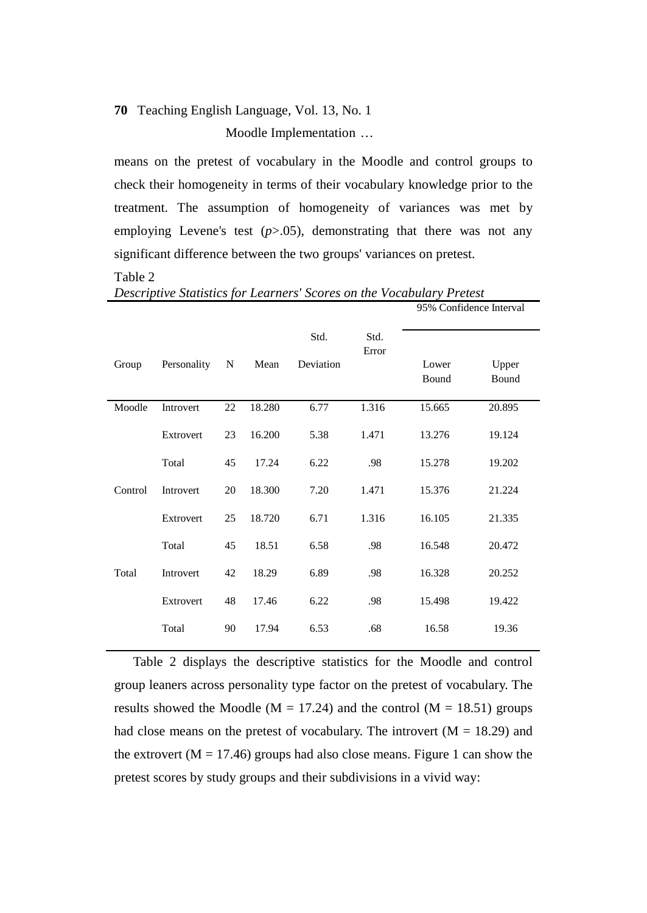Moodle Implementation …

means on the pretest of vocabulary in the Moodle and control groups to check their homogeneity in terms of their vocabulary knowledge prior to the treatment. The assumption of homogeneity of variances was met by employing Levene's test  $(p>0.05)$ , demonstrating that there was not any significant difference between the two groups' variances on pretest.

 $951 - 55$  Latenval

#### Table 2

|         |             |    |        |                   |               |                | 7070 COMMUCING MIGHT |
|---------|-------------|----|--------|-------------------|---------------|----------------|----------------------|
| Group   | Personality | N  | Mean   | Std.<br>Deviation | Std.<br>Error | Lower<br>Bound | Upper<br>Bound       |
| Moodle  | Introvert   | 22 | 18.280 | 6.77              | 1.316         | 15.665         | 20.895               |
|         | Extrovert   | 23 | 16.200 | 5.38              | 1.471         | 13.276         | 19.124               |
|         | Total       | 45 | 17.24  | 6.22              | .98           | 15.278         | 19.202               |
| Control | Introvert   | 20 | 18.300 | 7.20              | 1.471         | 15.376         | 21.224               |
|         | Extrovert   | 25 | 18.720 | 6.71              | 1.316         | 16.105         | 21.335               |
|         | Total       | 45 | 18.51  | 6.58              | .98           | 16.548         | 20.472               |
| Total   | Introvert   | 42 | 18.29  | 6.89              | .98           | 16.328         | 20.252               |
|         | Extrovert   | 48 | 17.46  | 6.22              | .98           | 15.498         | 19.422               |
|         | Total       | 90 | 17.94  | 6.53              | .68           | 16.58          | 19.36                |

*Descriptive Statistics for Learners' Scores on the Vocabulary Pretest*

Table 2 displays the descriptive statistics for the Moodle and control group leaners across personality type factor on the pretest of vocabulary. The results showed the Moodle ( $M = 17.24$ ) and the control ( $M = 18.51$ ) groups had close means on the pretest of vocabulary. The introvert  $(M = 18.29)$  and the extrovert ( $M = 17.46$ ) groups had also close means. Figure 1 can show the pretest scores by study groups and their subdivisions in a vivid way: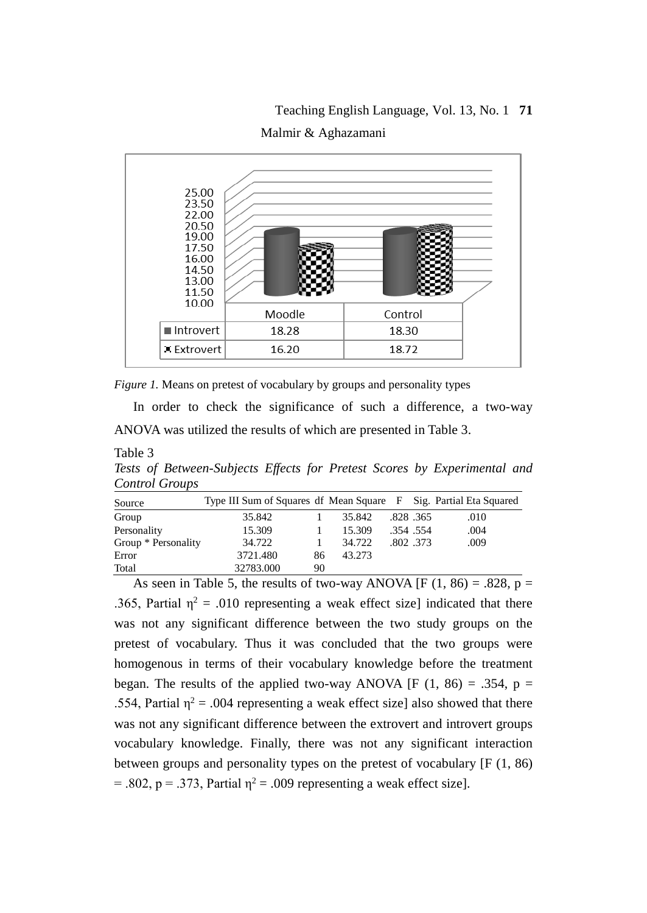# Teaching English Language, Vol. 13, No. 1 **71** Malmir & Aghazamani



*Figure 1.* Means on pretest of vocabulary by groups and personality types

In order to check the significance of such a difference, a two-way ANOVA was utilized the results of which are presented in Table 3.

Table 3

*Tests of Between-Subjects Effects for Pretest Scores by Experimental and Control Groups* 

| Source              | Type III Sum of Squares df Mean Square F Sig. Partial Eta Squared |    |        |          |          |      |
|---------------------|-------------------------------------------------------------------|----|--------|----------|----------|------|
| Group               | 35.842                                                            |    | 35.842 |          | .828.365 | .010 |
| Personality         | 15.309                                                            |    | 15.309 |          | .354.554 | .004 |
| Group * Personality | 34.722                                                            |    | 34.722 | .802.373 |          | .009 |
| Error               | 3721.480                                                          | 86 | 43.273 |          |          |      |
| Total               | 32783.000                                                         | 90 |        |          |          |      |

As seen in Table 5, the results of two-way ANOVA [F (1, 86) = .828,  $\overline{p}$  = .365, Partial  $\eta^2$  = .010 representing a weak effect size] indicated that there was not any significant difference between the two study groups on the pretest of vocabulary. Thus it was concluded that the two groups were homogenous in terms of their vocabulary knowledge before the treatment began. The results of the applied two-way ANOVA [F (1, 86) = .354, p = .554, Partial  $\eta^2$  = .004 representing a weak effect size] also showed that there was not any significant difference between the extrovert and introvert groups vocabulary knowledge. Finally, there was not any significant interaction between groups and personality types on the pretest of vocabulary [F (1, 86) = .802, p = .373, Partial  $\eta^2$  = .009 representing a weak effect size].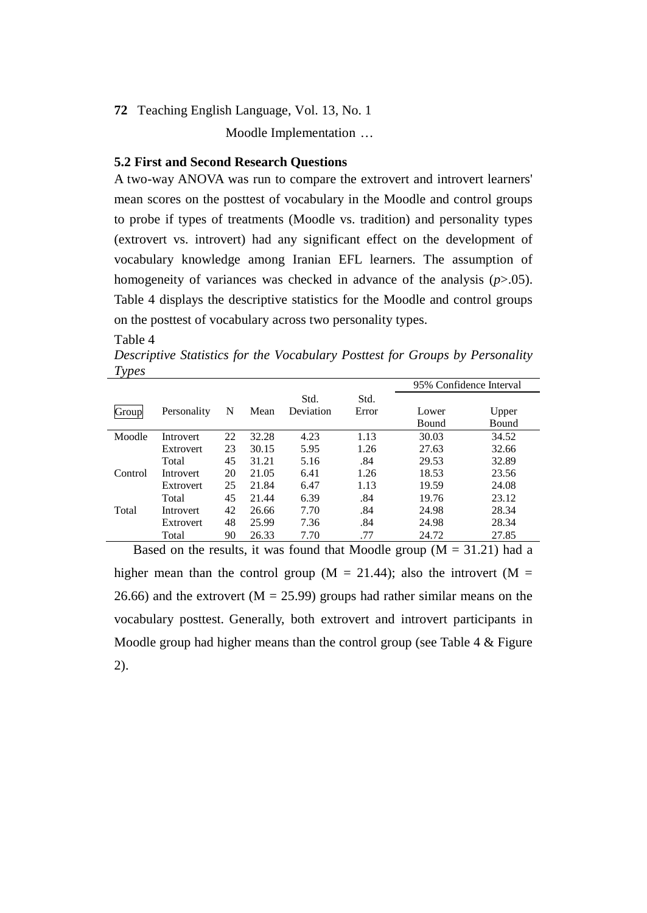Moodle Implementation …

#### **5.2 First and Second Research Questions**

A two-way ANOVA was run to compare the extrovert and introvert learners' mean scores on the posttest of vocabulary in the Moodle and control groups to probe if types of treatments (Moodle vs. tradition) and personality types (extrovert vs. introvert) had any significant effect on the development of vocabulary knowledge among Iranian EFL learners. The assumption of homogeneity of variances was checked in advance of the analysis (*p*>.05). Table 4 displays the descriptive statistics for the Moodle and control groups on the posttest of vocabulary across two personality types.

#### Table 4

*Descriptive Statistics for the Vocabulary Posttest for Groups by Personality Types*

| $\sim$ 1 |                  |    |       |                   |               | 95% Confidence Interval |       |
|----------|------------------|----|-------|-------------------|---------------|-------------------------|-------|
| Group    | Personality      | N  | Mean  | Std.<br>Deviation | Std.<br>Error | Lower                   | Upper |
|          |                  |    |       |                   |               | <b>Bound</b>            | Bound |
| Moodle   | <b>Introvert</b> | 22 | 32.28 | 4.23              | 1.13          | 30.03                   | 34.52 |
|          | Extrovert        | 23 | 30.15 | 5.95              | 1.26          | 27.63                   | 32.66 |
|          | Total            | 45 | 31.21 | 5.16              | .84           | 29.53                   | 32.89 |
| Control  | Introvert        | 20 | 21.05 | 6.41              | 1.26          | 18.53                   | 23.56 |
|          | Extrovert        | 25 | 21.84 | 6.47              | 1.13          | 19.59                   | 24.08 |
|          | Total            | 45 | 21.44 | 6.39              | .84           | 19.76                   | 23.12 |
| Total    | <b>Introvert</b> | 42 | 26.66 | 7.70              | .84           | 24.98                   | 28.34 |
|          | Extrovert        | 48 | 25.99 | 7.36              | .84           | 24.98                   | 28.34 |
|          | Total            | 90 | 26.33 | 7.70              | .77           | 24.72                   | 27.85 |

Based on the results, it was found that Moodle group  $(M = 31.21)$  had a higher mean than the control group ( $M = 21.44$ ); also the introvert ( $M =$ 26.66) and the extrovert ( $M = 25.99$ ) groups had rather similar means on the vocabulary posttest. Generally, both extrovert and introvert participants in Moodle group had higher means than the control group (see Table  $4 \&$  Figure 2).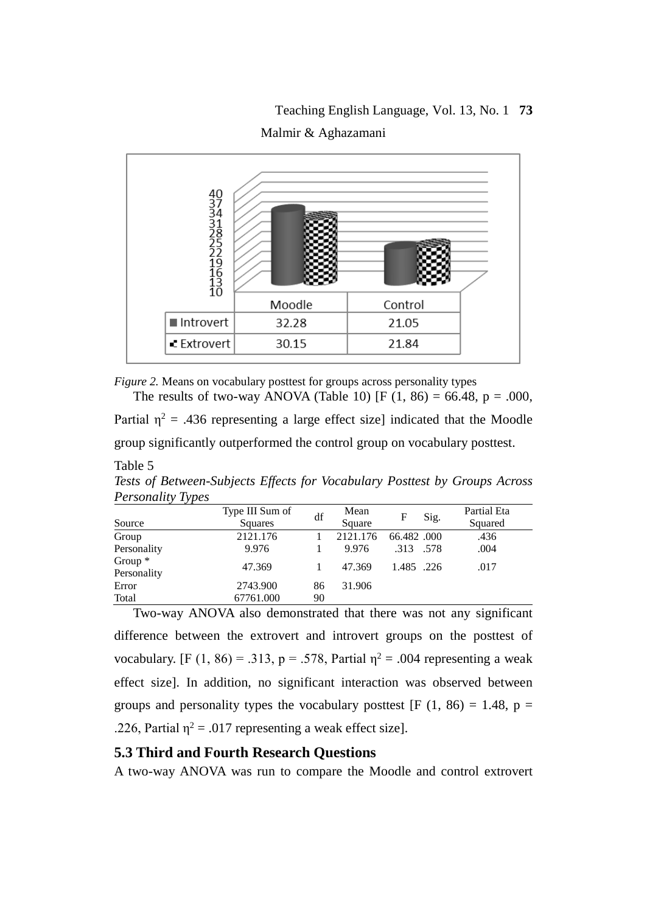# Teaching English Language, Vol. 13, No. 1 **73** Malmir & Aghazamani



*Figure 2.* Means on vocabulary posttest for groups across personality types The results of two-way ANOVA (Table 10) [F  $(1, 86) = 66.48$ , p = .000,

Partial  $n^2 = 0.436$  representing a large effect sizel indicated that the Moodle group significantly outperformed the control group on vocabulary posttest.

| <i>Personality Types</i> |                 |    |          |              |             |
|--------------------------|-----------------|----|----------|--------------|-------------|
|                          | Type III Sum of | df | Mean     | Sig.<br>F    | Partial Eta |
| Source                   | Squares         |    | Square   |              | Squared     |
| Group                    | 2121.176        |    | 2121.176 | 66.482.000   | .436        |
| Personality              | 9.976           |    | 9.976    | .313<br>.578 | .004        |
| Group $*$<br>Personality | 47.369          |    | 47.369   | 1.485 .226   | .017        |
| Error                    | 2743.900        | 86 | 31.906   |              |             |
| Total                    | 67761.000       | 90 |          |              |             |

*Tests of Between-Subjects Effects for Vocabulary Posttest by Groups Across Personality Types*

Two-way ANOVA also demonstrated that there was not any significant difference between the extrovert and introvert groups on the posttest of vocabulary. [F (1, 86) = .313, p = .578, Partial  $\eta^2$  = .004 representing a weak effect size]. In addition, no significant interaction was observed between groups and personality types the vocabulary posttest [F  $(1, 86) = 1.48$ , p = .226, Partial  $\eta^2 = .017$  representing a weak effect size].

## **5.3 Third and Fourth Research Questions**

Table 5

A two-way ANOVA was run to compare the Moodle and control extrovert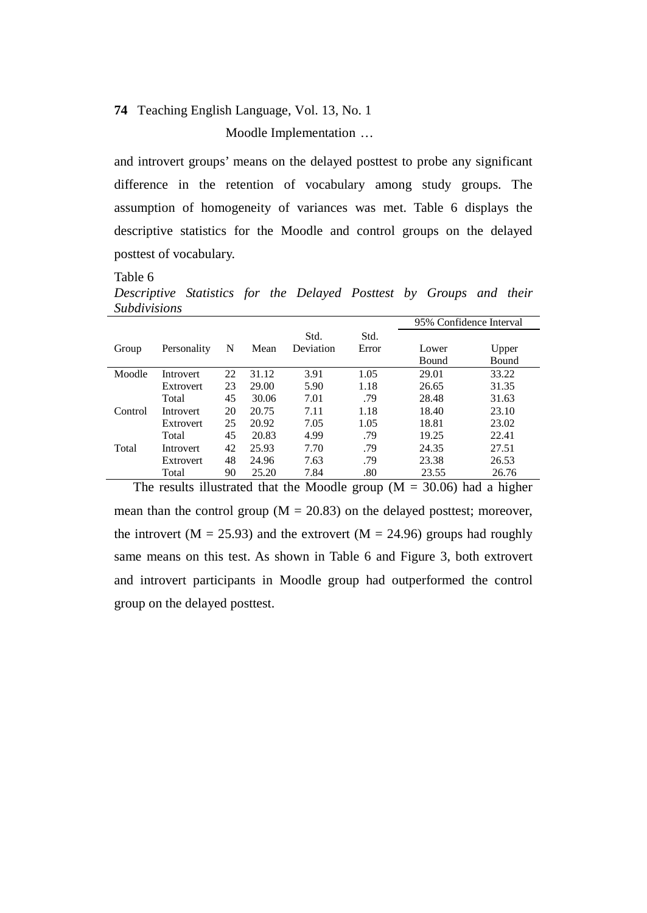Moodle Implementation …

and introvert groups' means on the delayed posttest to probe any significant difference in the retention of vocabulary among study groups. The assumption of homogeneity of variances was met. Table 6 displays the descriptive statistics for the Moodle and control groups on the delayed posttest of vocabulary.

Table 6

*Descriptive Statistics for the Delayed Posttest by Groups and their Subdivisions*

|         |                  |    |       |           |       | 95% Confidence Interval |       |
|---------|------------------|----|-------|-----------|-------|-------------------------|-------|
|         |                  |    |       | Std.      | Std.  |                         |       |
| Group   | Personality      | N  | Mean  | Deviation | Error | Lower                   | Upper |
|         |                  |    |       |           |       | Bound                   | Bound |
| Moodle  | <b>Introvert</b> | 22 | 31.12 | 3.91      | 1.05  | 29.01                   | 33.22 |
|         | Extrovert        | 23 | 29.00 | 5.90      | 1.18  | 26.65                   | 31.35 |
|         | Total            | 45 | 30.06 | 7.01      | .79   | 28.48                   | 31.63 |
| Control | <b>Introvert</b> | 20 | 20.75 | 7.11      | 1.18  | 18.40                   | 23.10 |
|         | Extrovert        | 25 | 20.92 | 7.05      | 1.05  | 18.81                   | 23.02 |
|         | Total            | 45 | 20.83 | 4.99      | .79   | 19.25                   | 22.41 |
| Total   | <b>Introvert</b> | 42 | 25.93 | 7.70      | .79   | 24.35                   | 27.51 |
|         | Extrovert        | 48 | 24.96 | 7.63      | .79   | 23.38                   | 26.53 |
|         | Total            | 90 | 25.20 | 7.84      | .80   | 23.55                   | 26.76 |

The results illustrated that the Moodle group ( $M = 30.06$ ) had a higher mean than the control group ( $M = 20.83$ ) on the delayed posttest; moreover, the introvert ( $M = 25.93$ ) and the extrovert ( $M = 24.96$ ) groups had roughly same means on this test. As shown in Table 6 and Figure 3, both extrovert and introvert participants in Moodle group had outperformed the control group on the delayed posttest.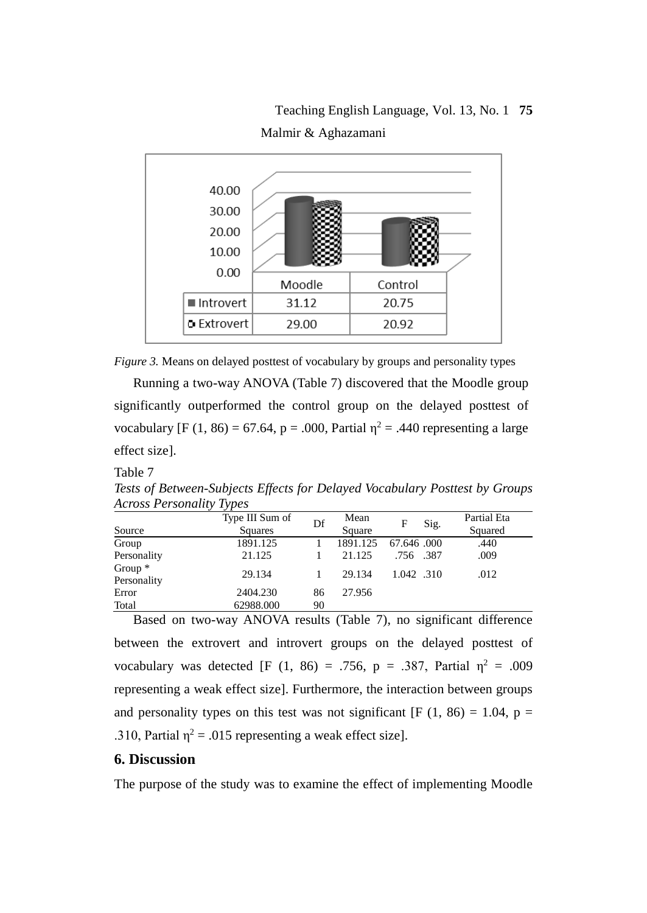Teaching English Language, Vol. 13, No. 1 **75** Malmir & Aghazamani



*Figure 3.* Means on delayed posttest of vocabulary by groups and personality types

Running a two-way ANOVA (Table 7) discovered that the Moodle group significantly outperformed the control group on the delayed posttest of vocabulary [F (1, 86) = 67.64, p = .000, Partial  $\eta^2$  = .440 representing a large effect size].

#### Table 7

*Tests of Between-Subjects Effects for Delayed Vocabulary Posttest by Groups Across Personality Types*

|                          | Type III Sum of | Df | Mean     | Sig.<br>F  | Partial Eta |
|--------------------------|-----------------|----|----------|------------|-------------|
| Source                   | <b>Squares</b>  |    | Square   |            | Squared     |
| Group                    | 1891.125        |    | 1891.125 | 67.646.000 | .440        |
| Personality              | 21.125          |    | 21.125   | .756 .387  | .009        |
| Group $*$<br>Personality | 29.134          |    | 29.134   | 1.042 .310 | .012        |
| Error                    | 2404.230        | 86 | 27.956   |            |             |
| Total                    | 62988.000       | 90 |          |            |             |

Based on two-way ANOVA results (Table 7), no significant difference between the extrovert and introvert groups on the delayed posttest of vocabulary was detected [F (1, 86) = .756, p = .387, Partial  $\eta^2$  = .009 representing a weak effect size]. Furthermore, the interaction between groups and personality types on this test was not significant [F  $(1, 86) = 1.04$ , p = .310, Partial  $\eta^2$  = .015 representing a weak effect size].

# **6. Discussion**

The purpose of the study was to examine the effect of implementing Moodle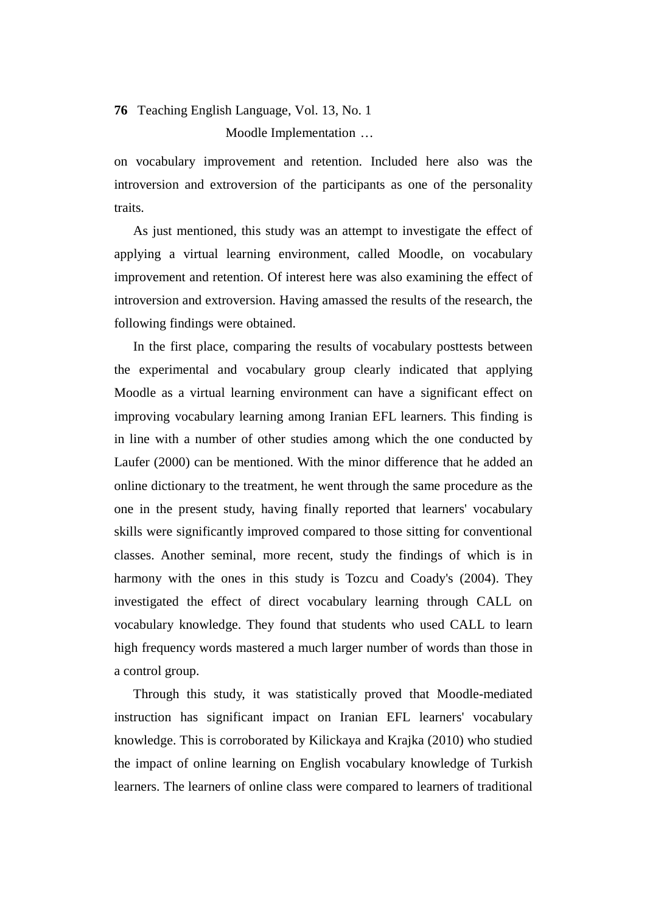Moodle Implementation …

on vocabulary improvement and retention. Included here also was the introversion and extroversion of the participants as one of the personality traits.

As just mentioned, this study was an attempt to investigate the effect of applying a virtual learning environment, called Moodle, on vocabulary improvement and retention. Of interest here was also examining the effect of introversion and extroversion. Having amassed the results of the research, the following findings were obtained.

In the first place, comparing the results of vocabulary posttests between the experimental and vocabulary group clearly indicated that applying Moodle as a virtual learning environment can have a significant effect on improving vocabulary learning among Iranian EFL learners. This finding is in line with a number of other studies among which the one conducted by Laufer (2000) can be mentioned. With the minor difference that he added an online dictionary to the treatment, he went through the same procedure as the one in the present study, having finally reported that learners' vocabulary skills were significantly improved compared to those sitting for conventional classes. Another seminal, more recent, study the findings of which is in harmony with the ones in this study is Tozcu and Coady's (2004). They investigated the effect of direct vocabulary learning through CALL on vocabulary knowledge. They found that students who used CALL to learn high frequency words mastered a much larger number of words than those in a control group.

Through this study, it was statistically proved that Moodle-mediated instruction has significant impact on Iranian EFL learners' vocabulary knowledge. This is corroborated by Kilickaya and Krajka (2010) who studied the impact of online learning on English vocabulary knowledge of Turkish learners. The learners of online class were compared to learners of traditional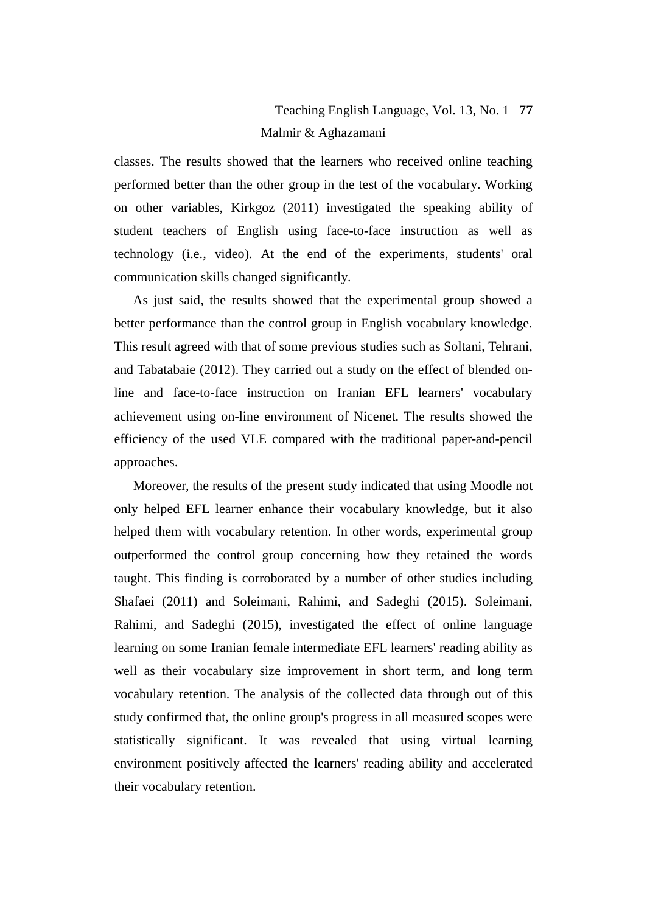# Teaching English Language, Vol. 13, No. 1 **77** Malmir & Aghazamani

classes. The results showed that the learners who received online teaching performed better than the other group in the test of the vocabulary. Working on other variables, Kirkgoz (2011) investigated the speaking ability of student teachers of English using face-to-face instruction as well as technology (i.e., video). At the end of the experiments, students' oral communication skills changed significantly.

As just said, the results showed that the experimental group showed a better performance than the control group in English vocabulary knowledge. This result agreed with that of some previous studies such as Soltani, Tehrani, and Tabatabaie (2012). They carried out a study on the effect of blended online and face-to-face instruction on Iranian EFL learners' vocabulary achievement using on-line environment of Nicenet. The results showed the efficiency of the used VLE compared with the traditional paper-and-pencil approaches.

Moreover, the results of the present study indicated that using Moodle not only helped EFL learner enhance their vocabulary knowledge, but it also helped them with vocabulary retention. In other words, experimental group outperformed the control group concerning how they retained the words taught. This finding is corroborated by a number of other studies including Shafaei (2011) and Soleimani, Rahimi, and Sadeghi (2015). Soleimani, Rahimi, and Sadeghi (2015), investigated the effect of online language learning on some Iranian female intermediate EFL learners' reading ability as well as their vocabulary size improvement in short term, and long term vocabulary retention. The analysis of the collected data through out of this study confirmed that, the online group's progress in all measured scopes were statistically significant. It was revealed that using virtual learning environment positively affected the learners' reading ability and accelerated their vocabulary retention.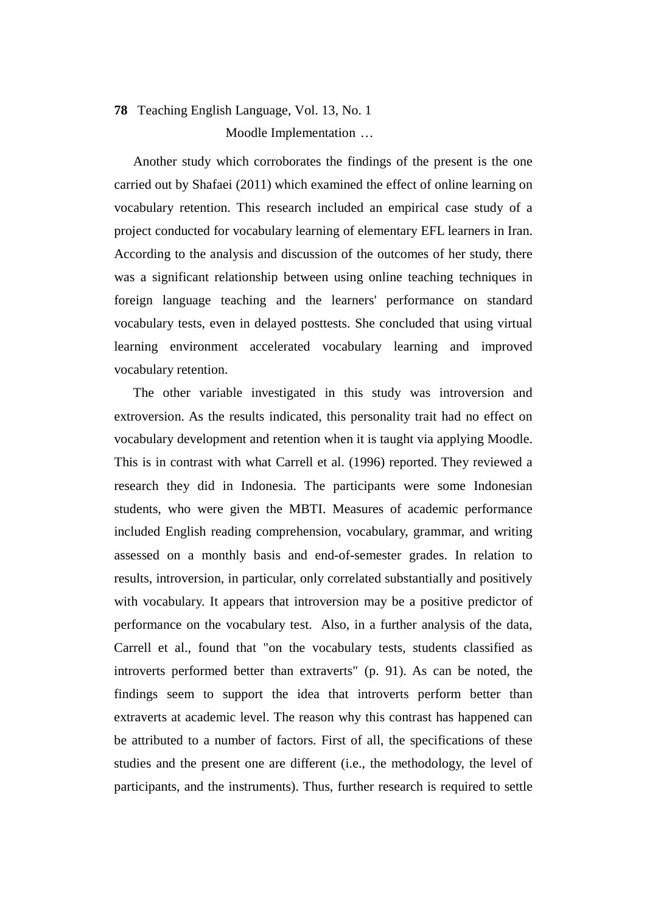# **78** Teaching English Language, Vol. 13, No. 1 Moodle Implementation …

Another study which corroborates the findings of the present is the one carried out by Shafaei (2011) which examined the effect of online learning on vocabulary retention. This research included an empirical case study of a project conducted for vocabulary learning of elementary EFL learners in Iran. According to the analysis and discussion of the outcomes of her study, there was a significant relationship between using online teaching techniques in foreign language teaching and the learners' performance on standard vocabulary tests, even in delayed posttests. She concluded that using virtual learning environment accelerated vocabulary learning and improved vocabulary retention.

The other variable investigated in this study was introversion and extroversion. As the results indicated, this personality trait had no effect on vocabulary development and retention when it is taught via applying Moodle. This is in contrast with what Carrell et al. (1996) reported. They reviewed a research they did in Indonesia. The participants were some Indonesian students, who were given the MBTI. Measures of academic performance included English reading comprehension, vocabulary, grammar, and writing assessed on a monthly basis and end-of-semester grades. In relation to results, introversion, in particular, only correlated substantially and positively with vocabulary. It appears that introversion may be a positive predictor of performance on the vocabulary test. Also, in a further analysis of the data, Carrell et al., found that "on the vocabulary tests, students classified as introverts performed better than extraverts" (p. 91). As can be noted, the findings seem to support the idea that introverts perform better than extraverts at academic level. The reason why this contrast has happened can be attributed to a number of factors. First of all, the specifications of these studies and the present one are different (i.e., the methodology, the level of participants, and the instruments). Thus, further research is required to settle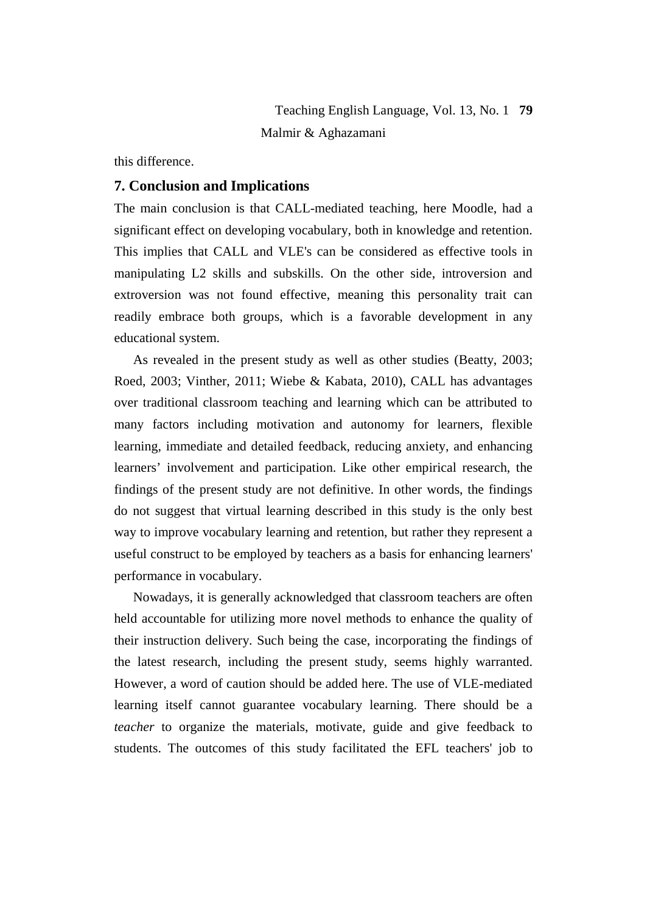this difference.

## **7. Conclusion and Implications**

The main conclusion is that CALL-mediated teaching, here Moodle, had a significant effect on developing vocabulary, both in knowledge and retention. This implies that CALL and VLE's can be considered as effective tools in manipulating L2 skills and subskills. On the other side, introversion and extroversion was not found effective, meaning this personality trait can readily embrace both groups, which is a favorable development in any educational system.

As revealed in the present study as well as other studies (Beatty, 2003; Roed, 2003; Vinther, 2011; Wiebe & Kabata, 2010), CALL has advantages over traditional classroom teaching and learning which can be attributed to many factors including motivation and autonomy for learners, flexible learning, immediate and detailed feedback, reducing anxiety, and enhancing learners' involvement and participation. Like other empirical research, the findings of the present study are not definitive. In other words, the findings do not suggest that virtual learning described in this study is the only best way to improve vocabulary learning and retention, but rather they represent a useful construct to be employed by teachers as a basis for enhancing learners' performance in vocabulary.

Nowadays, it is generally acknowledged that classroom teachers are often held accountable for utilizing more novel methods to enhance the quality of their instruction delivery. Such being the case, incorporating the findings of the latest research, including the present study, seems highly warranted. However, a word of caution should be added here. The use of VLE-mediated learning itself cannot guarantee vocabulary learning. There should be a *teacher* to organize the materials, motivate, guide and give feedback to students. The outcomes of this study facilitated the EFL teachers' job to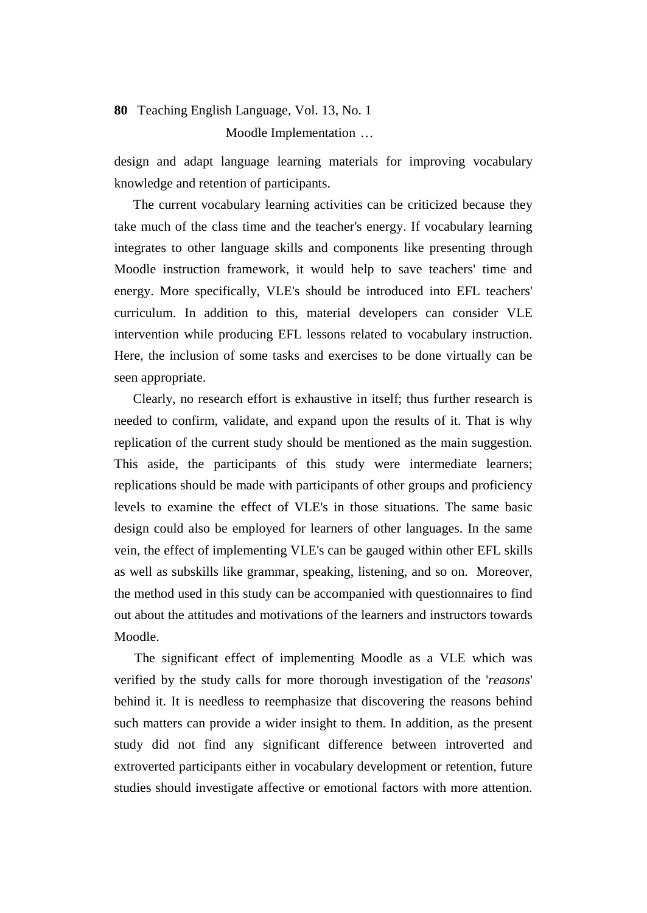Moodle Implementation …

design and adapt language learning materials for improving vocabulary knowledge and retention of participants.

The current vocabulary learning activities can be criticized because they take much of the class time and the teacher's energy. If vocabulary learning integrates to other language skills and components like presenting through Moodle instruction framework, it would help to save teachers' time and energy. More specifically, VLE's should be introduced into EFL teachers' curriculum. In addition to this, material developers can consider VLE intervention while producing EFL lessons related to vocabulary instruction. Here, the inclusion of some tasks and exercises to be done virtually can be seen appropriate.

Clearly, no research effort is exhaustive in itself; thus further research is needed to confirm, validate, and expand upon the results of it. That is why replication of the current study should be mentioned as the main suggestion. This aside, the participants of this study were intermediate learners; replications should be made with participants of other groups and proficiency levels to examine the effect of VLE's in those situations. The same basic design could also be employed for learners of other languages. In the same vein, the effect of implementing VLE's can be gauged within other EFL skills as well as subskills like grammar, speaking, listening, and so on. Moreover, the method used in this study can be accompanied with questionnaires to find out about the attitudes and motivations of the learners and instructors towards Moodle.

 The significant effect of implementing Moodle as a VLE which was verified by the study calls for more thorough investigation of the '*reasons*' behind it. It is needless to reemphasize that discovering the reasons behind such matters can provide a wider insight to them. In addition, as the present study did not find any significant difference between introverted and extroverted participants either in vocabulary development or retention, future studies should investigate affective or emotional factors with more attention.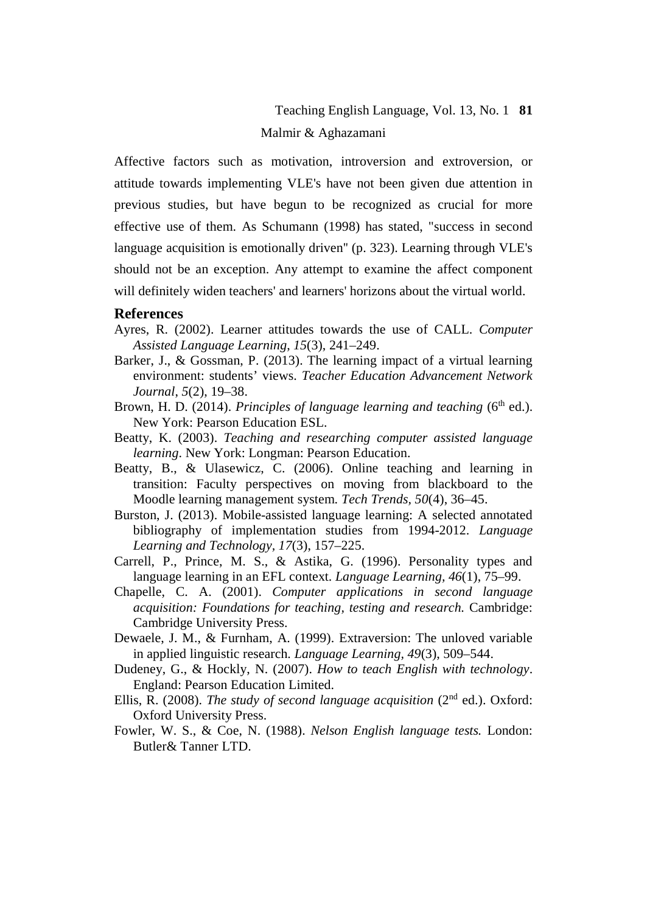Affective factors such as motivation, introversion and extroversion, or attitude towards implementing VLE's have not been given due attention in previous studies, but have begun to be recognized as crucial for more effective use of them. As Schumann (1998) has stated, "success in second language acquisition is emotionally driven'' (p. 323). Learning through VLE's should not be an exception. Any attempt to examine the affect component will definitely widen teachers' and learners' horizons about the virtual world.

### **References**

- Ayres, R. (2002). Learner attitudes towards the use of CALL. *Computer Assisted Language Learning*, *15*(3), 241–249.
- Barker, J., & Gossman, P. (2013). The learning impact of a virtual learning environment: students' views. *Teacher Education Advancement Network Journal*, *5*(2), 19–38.
- Brown, H. D. (2014). *Principles of language learning and teaching* (6<sup>th</sup> ed.). New York: Pearson Education ESL.
- Beatty, K. (2003). *Teaching and researching computer assisted language learning*. New York: Longman: Pearson Education.
- Beatty, B., & Ulasewicz, C. (2006). Online teaching and learning in transition: Faculty perspectives on moving from blackboard to the Moodle learning management system. *Tech Trends, 50*(4), 36–45.
- Burston, J. (2013). Mobile-assisted language learning: A selected annotated bibliography of implementation studies from 1994-2012. *Language Learning and Technology, 17*(3), 157–225.
- Carrell, P., Prince, M. S., & Astika, G. (1996). Personality types and language learning in an EFL context. *Language Learning, 46*(1), 75–99.
- Chapelle, C. A. (2001). *Computer applications in second language acquisition: Foundations for teaching, testing and research.* Cambridge: Cambridge University Press.
- Dewaele, J. M., & Furnham, A. (1999). Extraversion: The unloved variable in applied linguistic research. *Language Learning, 49*(3), 509–544.
- Dudeney, G., & Hockly, N. (2007). *How to teach English with technology*. England: Pearson Education Limited.
- Ellis, R. (2008). *The study of second language acquisition* (2nd ed.). Oxford: Oxford University Press.
- Fowler, W. S., & Coe, N. (1988). *Nelson English language tests.* London: Butler& Tanner LTD.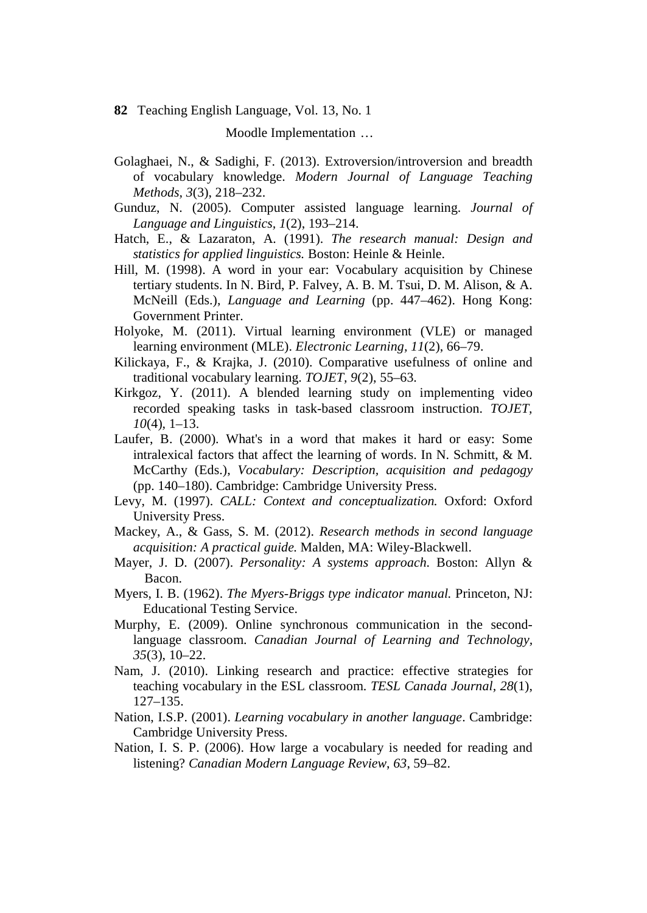Moodle Implementation …

- Golaghaei, N., & Sadighi, F. (2013). Extroversion/introversion and breadth of vocabulary knowledge. *Modern Journal of Language Teaching Methods, 3*(3), 218–232.
- Gunduz, N. (2005). Computer assisted language learning. *Journal of Language and Linguistics, 1*(2), 193–214.
- Hatch, E., & Lazaraton, A. (1991). *The research manual: Design and statistics for applied linguistics.* Boston: Heinle & Heinle.
- Hill, M. (1998). A word in your ear: Vocabulary acquisition by Chinese tertiary students. In N. Bird, P. Falvey, A. B. M. Tsui, D. M. Alison, & A. McNeill (Eds.), *Language and Learning* (pp. 447–462). Hong Kong: Government Printer.
- Holyoke, M. (2011). Virtual learning environment (VLE) or managed learning environment (MLE). *Electronic Learning, 11*(2), 66–79.
- Kilickaya, F., & Krajka, J. (2010). Comparative usefulness of online and traditional vocabulary learning. *TOJET, 9*(2), 55–63.
- Kirkgoz, Y. (2011). A blended learning study on implementing video recorded speaking tasks in task-based classroom instruction. *TOJET, 10*(4)*,* 1–13.
- Laufer, B. (2000). What's in a word that makes it hard or easy: Some intralexical factors that affect the learning of words. In N. Schmitt, & M. McCarthy (Eds.), *Vocabulary: Description, acquisition and pedagogy* (pp. 140–180). Cambridge: Cambridge University Press.
- Levy, M. (1997). *CALL: Context and conceptualization.* Oxford: Oxford University Press.
- Mackey, A., & Gass, S. M. (2012). *Research methods in second language acquisition: A practical guide.* Malden, MA: Wiley-Blackwell.
- Mayer, J. D. (2007). *Personality: A systems approach.* Boston: Allyn & Bacon.
- Myers, I. B. (1962). *The Myers-Briggs type indicator manual.* Princeton, NJ: Educational Testing Service.
- Murphy, E. (2009). Online synchronous communication in the secondlanguage classroom. *Canadian Journal of Learning and Technology, 35*(3), 10–22.
- Nam, J. (2010). Linking research and practice: effective strategies for teaching vocabulary in the ESL classroom. *TESL Canada Journal, 28*(1), 127–135.
- Nation, I.S.P. (2001). *Learning vocabulary in another language*. Cambridge: Cambridge University Press.
- Nation, I. S. P. (2006). How large a vocabulary is needed for reading and listening? *Canadian Modern Language Review*, *63*, 59–82.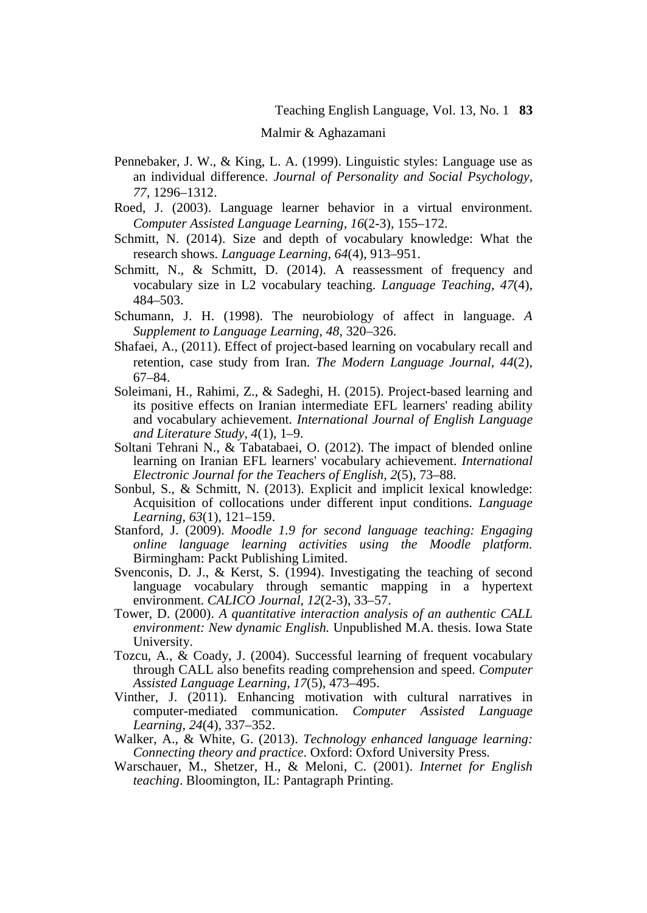#### Malmir & Aghazamani

- Pennebaker, J. W., & King, L. A. (1999). Linguistic styles: Language use as an individual difference. *Journal of Personality and Social Psychology, 77*, 1296–1312.
- Roed, J. (2003). Language learner behavior in a virtual environment. *Computer Assisted Language Learning, 16*(2-3), 155–172.
- Schmitt, N. (2014). Size and depth of vocabulary knowledge: What the research shows. *Language Learning, 64*(4), 913–951.
- Schmitt, N., & Schmitt, D. (2014). A reassessment of frequency and vocabulary size in L2 vocabulary teaching. *Language Teaching, 47*(4), 484–503.
- Schumann, J. H. (1998). The neurobiology of affect in language. *A Supplement to Language Learning*, *48,* 320–326.
- Shafaei, A., (2011). Effect of project-based learning on vocabulary recall and retention, case study from Iran. *The Modern Language Journal, 44*(2), 67–84.
- Soleimani, H., Rahimi, Z., & Sadeghi, H. (2015). Project-based learning and its positive effects on Iranian intermediate EFL learners' reading ability and vocabulary achievement. *International Journal of English Language and Literature Study, 4*(1), 1–9.
- Soltani Tehrani N., & Tabatabaei, O. (2012). The impact of blended online learning on Iranian EFL learners' vocabulary achievement. *International Electronic Journal for the Teachers of English, 2*(5), 73–88.
- Sonbul, S., & Schmitt, N. (2013). Explicit and implicit lexical knowledge: Acquisition of collocations under different input conditions. *Language Learning, 63*(1), 121–159.
- Stanford, J. (2009). *Moodle 1.9 for second language teaching: Engaging online language learning activities using the Moodle platform.* Birmingham: Packt Publishing Limited.
- Svenconis, D. J., & Kerst, S. (1994). Investigating the teaching of second language vocabulary through semantic mapping in a hypertext environment. *CALICO Journal, 12*(2-3), 33–57.
- Tower, D. (2000). *A quantitative interaction analysis of an authentic CALL environment: New dynamic English.* Unpublished M.A. thesis. Iowa State University.
- Tozcu, A., & Coady, J. (2004). Successful learning of frequent vocabulary through CALL also benefits reading comprehension and speed. *Computer Assisted Language Learning, 17*(5), 473–495.
- Vinther, J. (2011). Enhancing motivation with cultural narratives in computer-mediated communication. *Computer Assisted Language Learning, 24*(4), 337–352.
- Walker, A., & White, G. (2013). *Technology enhanced language learning: Connecting theory and practice*. Oxford: Oxford University Press.
- Warschauer, M., Shetzer, H., & Meloni, C. (2001). *Internet for English teaching*. Bloomington, IL: Pantagraph Printing.